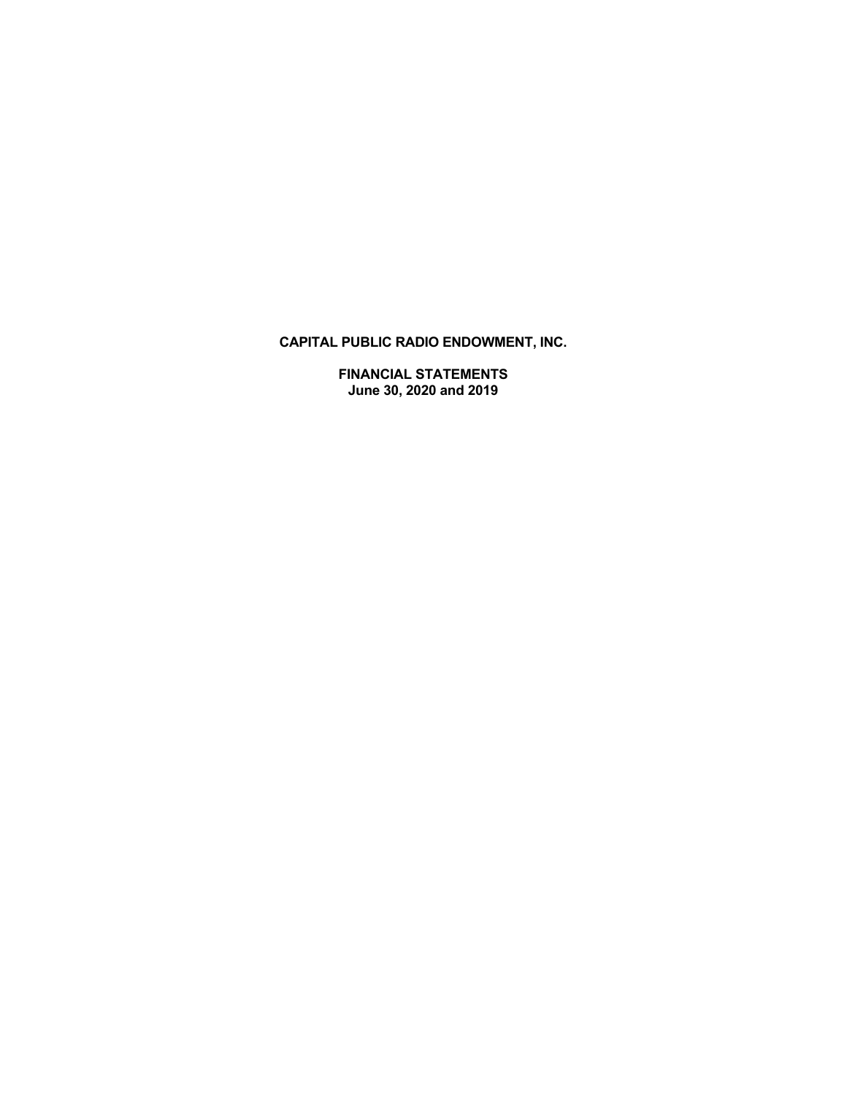**FINANCIAL STATEMENTS June 30, 2020 and 2019**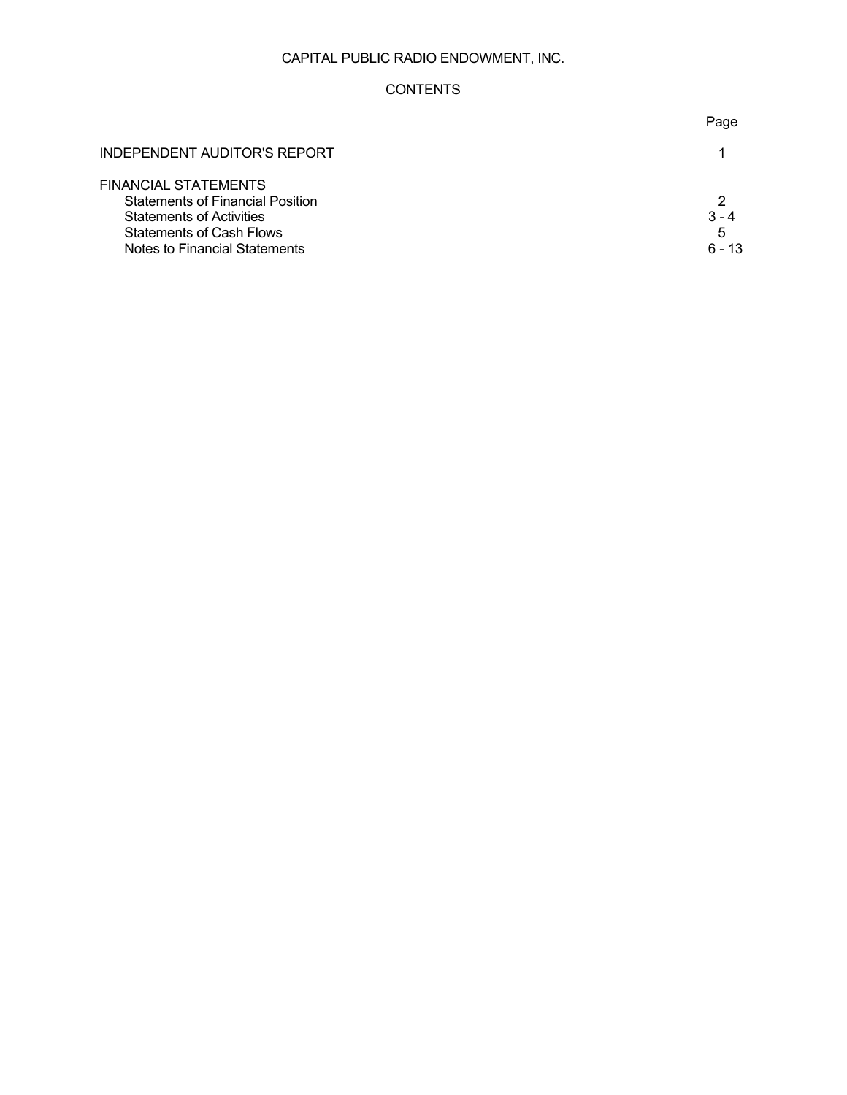# CONTENTS

| INDEPENDENT AUDITOR'S REPORT                                                                                                                                                  |                               |
|-------------------------------------------------------------------------------------------------------------------------------------------------------------------------------|-------------------------------|
| <b>FINANCIAL STATEMENTS</b><br><b>Statements of Financial Position</b><br><b>Statements of Activities</b><br><b>Statements of Cash Flows</b><br>Notes to Financial Statements | 2<br>$3 - 4$<br>5<br>$6 - 13$ |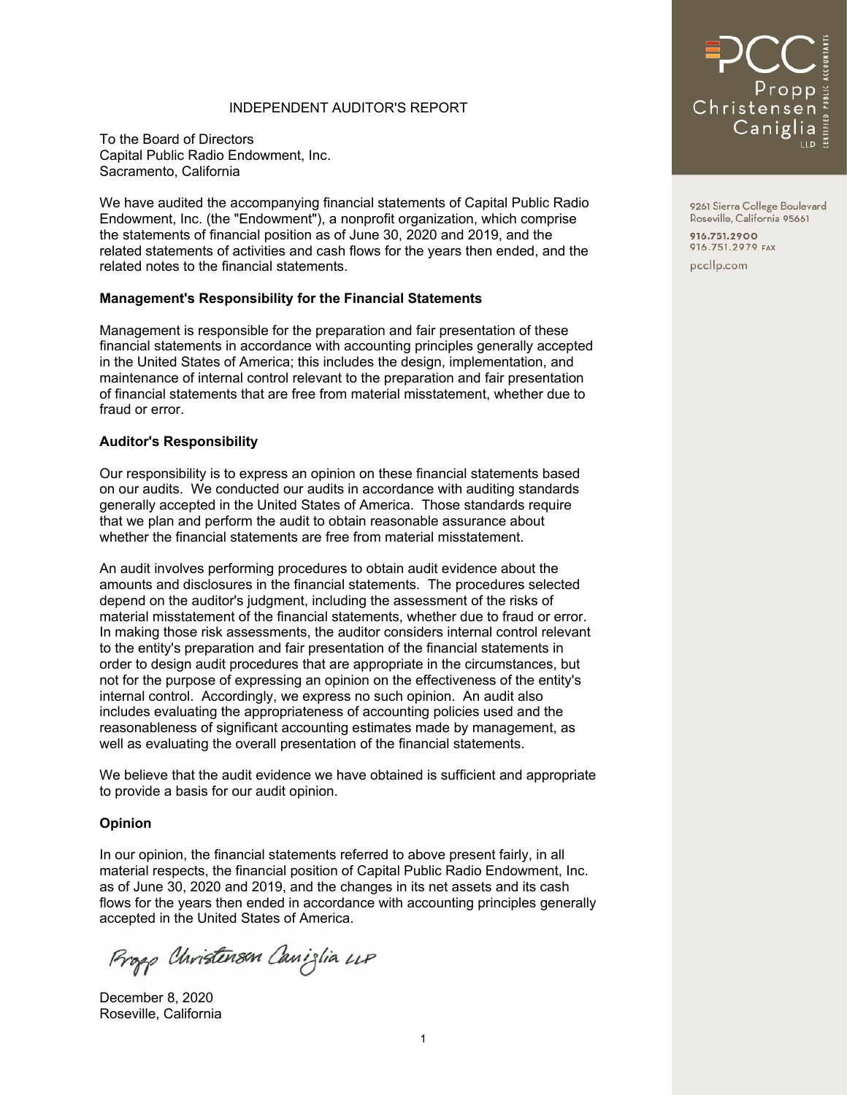### INDEPENDENT AUDITOR'S REPORT

To the Board of Directors Capital Public Radio Endowment, Inc. Sacramento, California

We have audited the accompanying financial statements of Capital Public Radio Endowment, Inc. (the "Endowment"), a nonprofit organization, which comprise the statements of financial position as of June 30, 2020 and 2019, and the related statements of activities and cash flows for the years then ended, and the related notes to the financial statements.

### **Management's Responsibility for the Financial Statements**

Management is responsible for the preparation and fair presentation of these financial statements in accordance with accounting principles generally accepted in the United States of America; this includes the design, implementation, and maintenance of internal control relevant to the preparation and fair presentation of financial statements that are free from material misstatement, whether due to fraud or error.

### **Auditor's Responsibility**

Our responsibility is to express an opinion on these financial statements based on our audits. We conducted our audits in accordance with auditing standards generally accepted in the United States of America. Those standards require that we plan and perform the audit to obtain reasonable assurance about whether the financial statements are free from material misstatement.

An audit involves performing procedures to obtain audit evidence about the amounts and disclosures in the financial statements. The procedures selected depend on the auditor's judgment, including the assessment of the risks of material misstatement of the financial statements, whether due to fraud or error. In making those risk assessments, the auditor considers internal control relevant to the entity's preparation and fair presentation of the financial statements in order to design audit procedures that are appropriate in the circumstances, but not for the purpose of expressing an opinion on the effectiveness of the entity's internal control. Accordingly, we express no such opinion. An audit also includes evaluating the appropriateness of accounting policies used and the reasonableness of significant accounting estimates made by management, as well as evaluating the overall presentation of the financial statements.

We believe that the audit evidence we have obtained is sufficient and appropriate to provide a basis for our audit opinion.

## **Opinion**

In our opinion, the financial statements referred to above present fairly, in all material respects, the financial position of Capital Public Radio Endowment, Inc. as of June 30, 2020 and 2019, and the changes in its net assets and its cash flows for the years then ended in accordance with accounting principles generally accepted in the United States of America.

Propp Christensen Caniglia LLP

December 8, 2020 Roseville, California

Christensen Caniglia

9261 Sierra College Boulevard Roseville, California 95661 916.751.2900 916.751.2979 FAX pccllp.com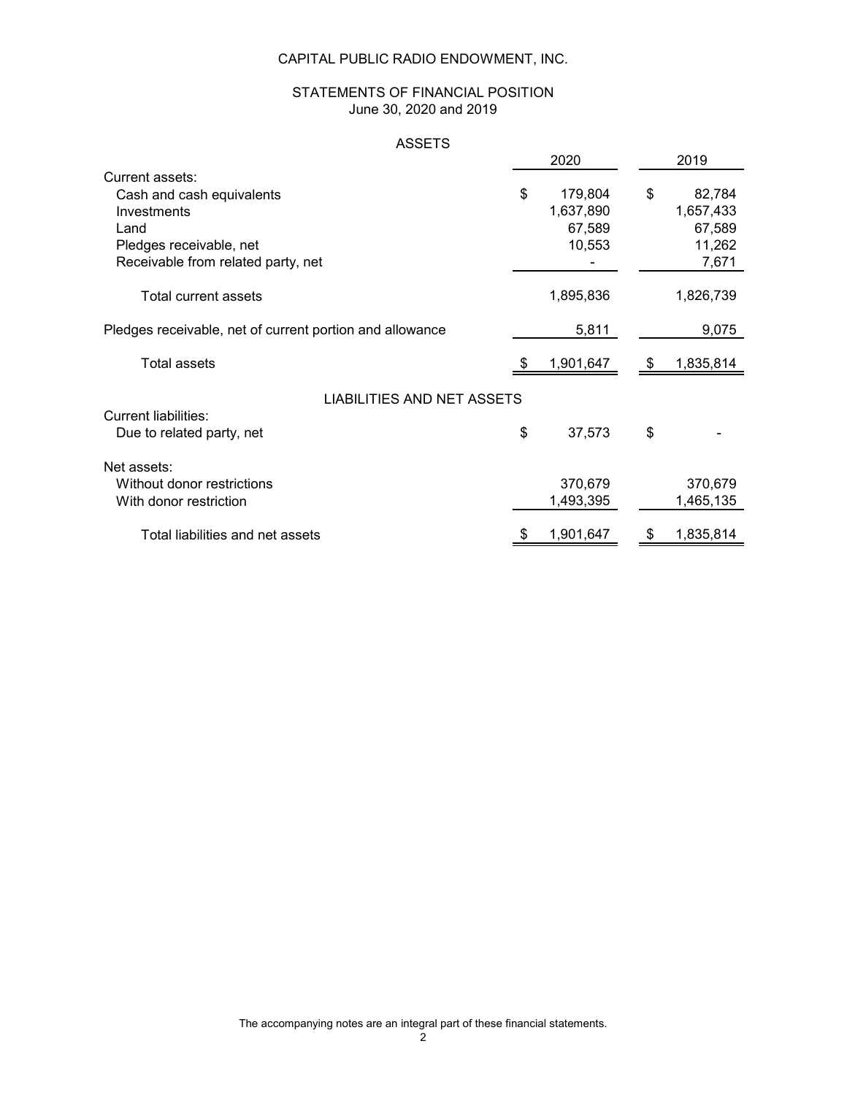# STATEMENTS OF FINANCIAL POSITION June 30, 2020 and 2019

### ASSETS

|                                                          | 2020            | 2019            |
|----------------------------------------------------------|-----------------|-----------------|
| Current assets:                                          |                 |                 |
| Cash and cash equivalents                                | \$<br>179,804   | \$<br>82,784    |
| Investments                                              | 1,637,890       | 1,657,433       |
| Land                                                     | 67,589          | 67,589          |
| Pledges receivable, net                                  | 10,553          | 11,262          |
| Receivable from related party, net                       |                 | 7,671           |
| Total current assets                                     | 1,895,836       | 1,826,739       |
| Pledges receivable, net of current portion and allowance | 5,811           | 9,075           |
| <b>Total assets</b>                                      | 1,901,647       | 1,835,814       |
| LIABILITIES AND NET ASSETS                               |                 |                 |
| Current liabilities:                                     |                 |                 |
| Due to related party, net                                | \$<br>37,573    | \$              |
| Net assets:                                              |                 |                 |
| Without donor restrictions                               | 370,679         | 370,679         |
| With donor restriction                                   | 1,493,395       | 1,465,135       |
| Total liabilities and net assets                         | \$<br>1,901,647 | \$<br>1,835,814 |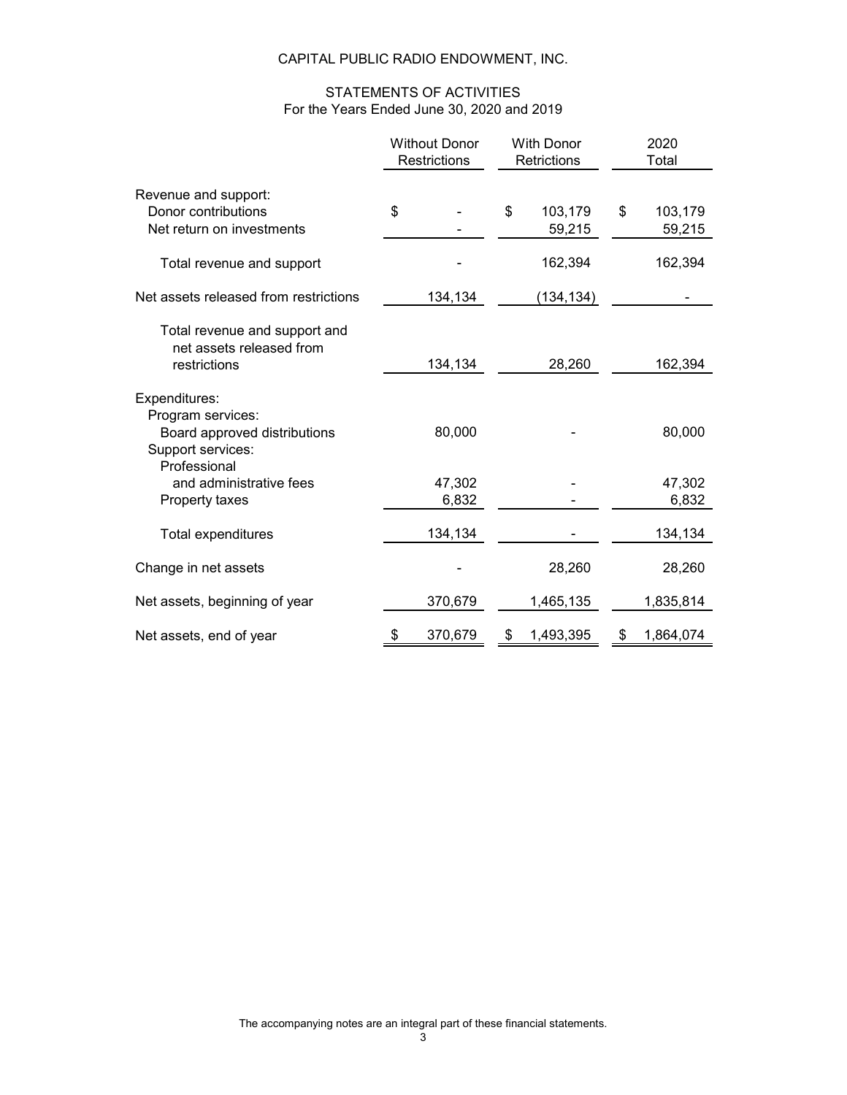# STATEMENTS OF ACTIVITIES For the Years Ended June 30, 2020 and 2019

|                                                                                         | <b>Without Donor</b><br>Restrictions | <b>With Donor</b><br>Retrictions |                   | 2020<br>Total |                 |
|-----------------------------------------------------------------------------------------|--------------------------------------|----------------------------------|-------------------|---------------|-----------------|
| Revenue and support:<br>Donor contributions                                             | \$                                   |                                  |                   |               | 103,179         |
| Net return on investments                                                               |                                      | \$                               | 103,179<br>59,215 | \$            | 59,215          |
| Total revenue and support                                                               |                                      |                                  | 162,394           |               | 162,394         |
| Net assets released from restrictions                                                   | 134,134                              |                                  | (134,134)         |               |                 |
| Total revenue and support and<br>net assets released from<br>restrictions               | 134,134                              |                                  | 28,260            |               | 162,394         |
| Expenditures:<br>Program services:<br>Board approved distributions<br>Support services: | 80,000                               |                                  |                   |               | 80,000          |
| Professional<br>and administrative fees<br>Property taxes                               | 47,302<br>6,832                      |                                  |                   |               | 47,302<br>6,832 |
| Total expenditures                                                                      | 134,134                              |                                  |                   |               | 134,134         |
| Change in net assets                                                                    |                                      |                                  | 28,260            |               | 28,260          |
| Net assets, beginning of year                                                           | 370,679                              |                                  | 1,465,135         |               | 1,835,814       |
| Net assets, end of year                                                                 | \$<br>370,679                        | \$                               | 1,493,395         | \$            | 1,864,074       |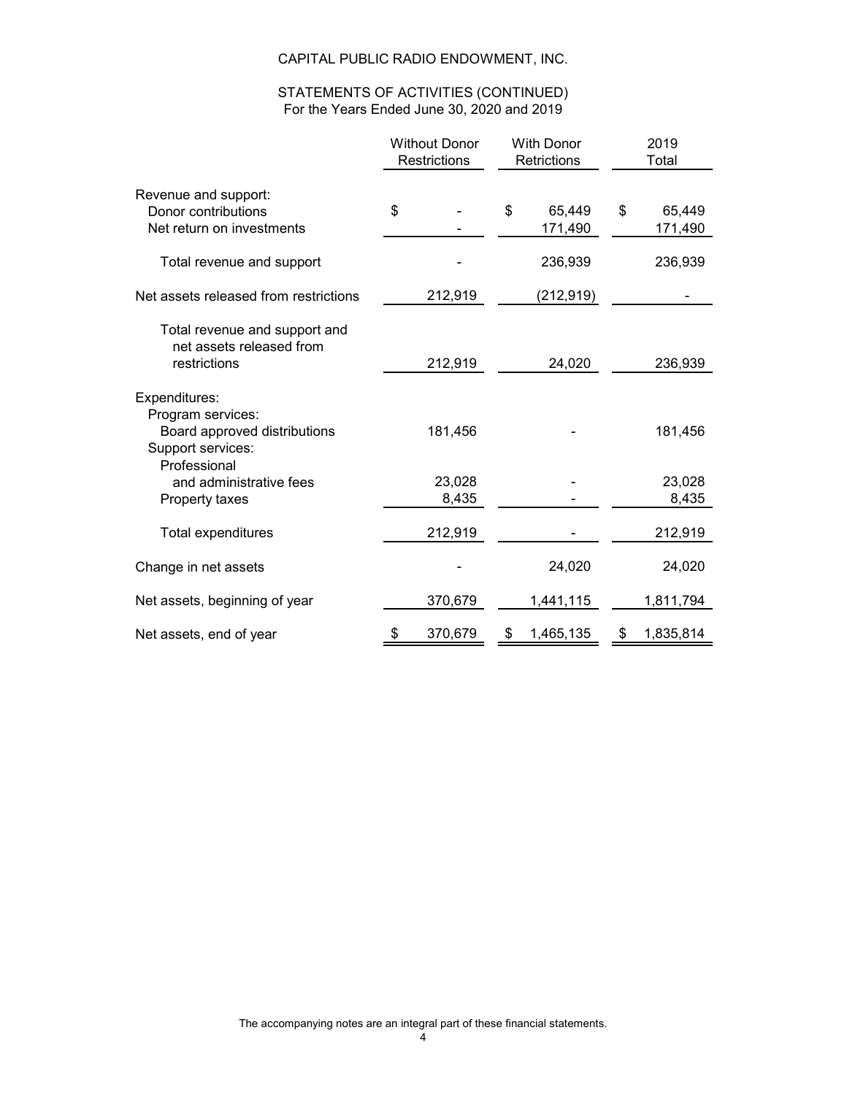### STATEMENTS OF ACTIVITIES (CONTINUED) For the Years Ended June 30, 2020 and 2019

|                                                                                                         | <b>Without Donor</b><br>Restrictions |                 | <b>With Donor</b><br>Retrictions |                   |    |                   | 2019<br>Total |  |
|---------------------------------------------------------------------------------------------------------|--------------------------------------|-----------------|----------------------------------|-------------------|----|-------------------|---------------|--|
| Revenue and support:<br>Donor contributions<br>Net return on investments                                | \$                                   |                 | \$                               | 65,449<br>171,490 | \$ | 65,449<br>171,490 |               |  |
| Total revenue and support                                                                               |                                      |                 |                                  | 236,939           |    | 236,939           |               |  |
| Net assets released from restrictions                                                                   |                                      | 212,919         |                                  | (212, 919)        |    |                   |               |  |
| Total revenue and support and<br>net assets released from<br>restrictions                               |                                      | 212,919         |                                  | 24,020            |    | 236,939           |               |  |
| Expenditures:<br>Program services:<br>Board approved distributions<br>Support services:<br>Professional |                                      | 181,456         |                                  |                   |    | 181,456           |               |  |
| and administrative fees<br>Property taxes                                                               |                                      | 23,028<br>8,435 |                                  |                   |    | 23,028<br>8,435   |               |  |
| Total expenditures                                                                                      |                                      | 212,919         |                                  |                   |    | 212,919           |               |  |
| Change in net assets                                                                                    |                                      |                 |                                  | 24,020            |    | 24,020            |               |  |
| Net assets, beginning of year                                                                           |                                      | 370,679         |                                  | 1,441,115         |    | 1,811,794         |               |  |
| Net assets, end of year                                                                                 | \$                                   | 370,679         | \$                               | 1,465,135         | \$ | 1,835,814         |               |  |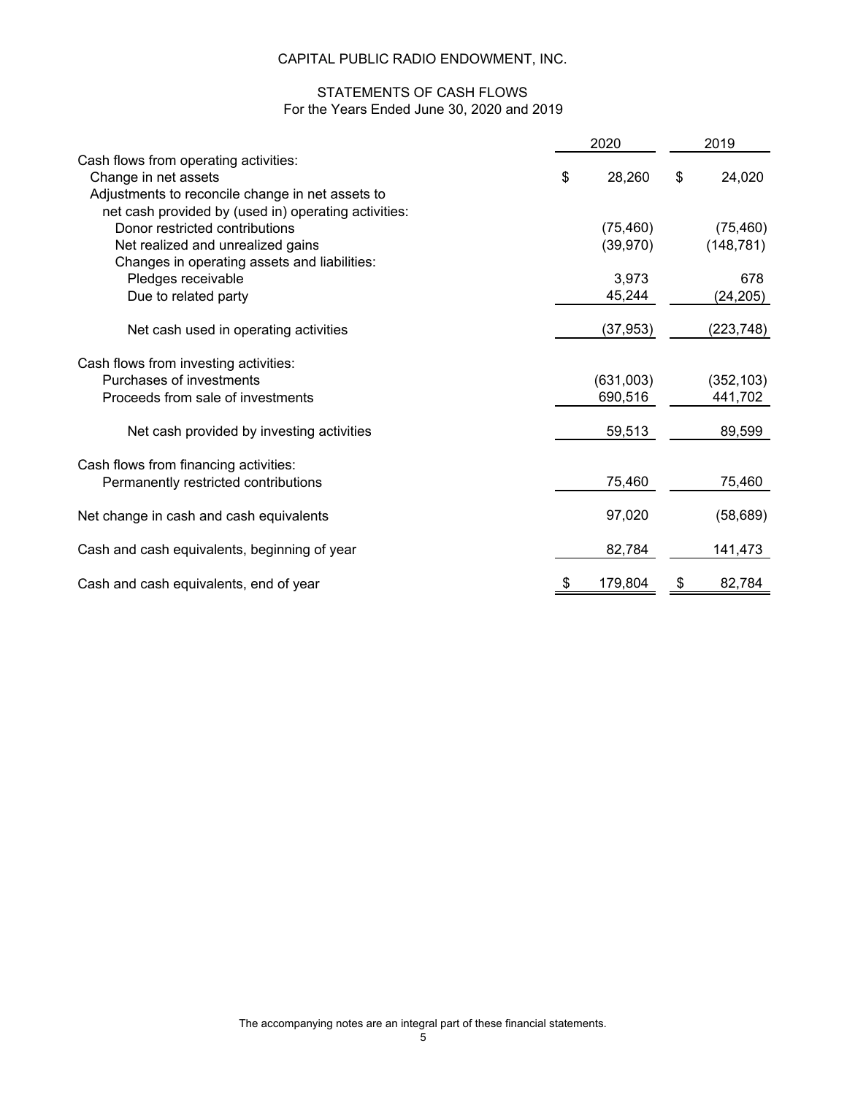# For the Years Ended June 30, 2020 and 2019 STATEMENTS OF CASH FLOWS

|                                                      | 2020 |           | 2019 |            |
|------------------------------------------------------|------|-----------|------|------------|
| Cash flows from operating activities:                |      |           |      |            |
| Change in net assets                                 | \$   | 28,260    | \$   | 24,020     |
| Adjustments to reconcile change in net assets to     |      |           |      |            |
| net cash provided by (used in) operating activities: |      |           |      |            |
| Donor restricted contributions                       |      | (75, 460) |      | (75, 460)  |
| Net realized and unrealized gains                    |      | (39, 970) |      | (148, 781) |
| Changes in operating assets and liabilities:         |      |           |      |            |
| Pledges receivable                                   |      | 3,973     |      | 678        |
| Due to related party                                 |      | 45,244    |      | (24, 205)  |
| Net cash used in operating activities                |      | (37, 953) |      | (223,748)  |
|                                                      |      |           |      |            |
| Cash flows from investing activities:                |      |           |      |            |
| Purchases of investments                             |      | (631,003) |      | (352, 103) |
| Proceeds from sale of investments                    |      | 690,516   |      | 441,702    |
| Net cash provided by investing activities            |      | 59,513    |      | 89,599     |
|                                                      |      |           |      |            |
| Cash flows from financing activities:                |      |           |      |            |
| Permanently restricted contributions                 |      | 75,460    |      | 75,460     |
| Net change in cash and cash equivalents              |      | 97,020    |      | (58, 689)  |
|                                                      |      |           |      |            |
| Cash and cash equivalents, beginning of year         |      | 82,784    |      | 141,473    |
| Cash and cash equivalents, end of year               | S    | 179,804   |      | 82,784     |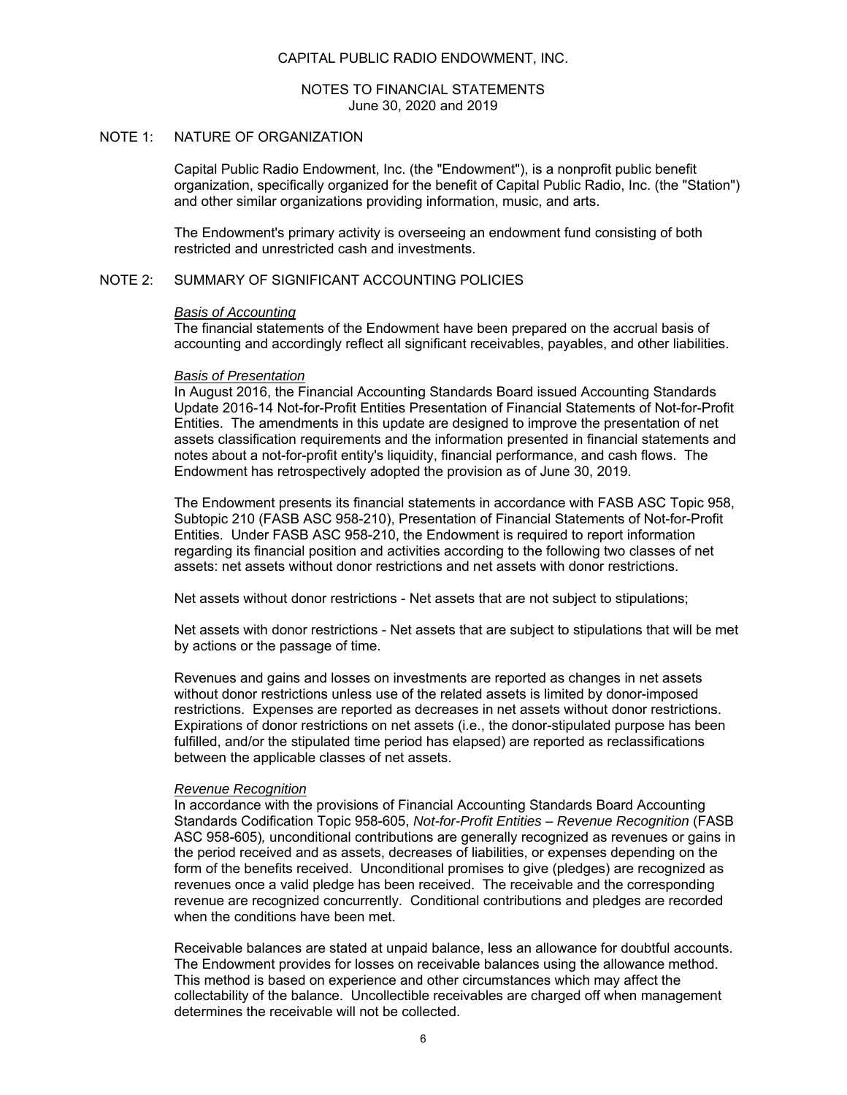NOTES TO FINANCIAL STATEMENTS June 30, 2020 and 2019

# NOTE 1: NATURE OF ORGANIZATION

Capital Public Radio Endowment, Inc. (the "Endowment"), is a nonprofit public benefit organization, specifically organized for the benefit of Capital Public Radio, Inc. (the "Station") and other similar organizations providing information, music, and arts.

The Endowment's primary activity is overseeing an endowment fund consisting of both restricted and unrestricted cash and investments.

## NOTE 2: SUMMARY OF SIGNIFICANT ACCOUNTING POLICIES

#### *Basis of Accounting*

The financial statements of the Endowment have been prepared on the accrual basis of accounting and accordingly reflect all significant receivables, payables, and other liabilities.

#### *Basis of Presentation*

In August 2016, the Financial Accounting Standards Board issued Accounting Standards Update 2016-14 Not-for-Profit Entities Presentation of Financial Statements of Not-for-Profit Entities. The amendments in this update are designed to improve the presentation of net assets classification requirements and the information presented in financial statements and notes about a not-for-profit entity's liquidity, financial performance, and cash flows. The Endowment has retrospectively adopted the provision as of June 30, 2019.

The Endowment presents its financial statements in accordance with FASB ASC Topic 958, Subtopic 210 (FASB ASC 958-210), Presentation of Financial Statements of Not-for-Profit Entities. Under FASB ASC 958-210, the Endowment is required to report information regarding its financial position and activities according to the following two classes of net assets: net assets without donor restrictions and net assets with donor restrictions.

Net assets without donor restrictions - Net assets that are not subject to stipulations;

Net assets with donor restrictions - Net assets that are subject to stipulations that will be met by actions or the passage of time.

Revenues and gains and losses on investments are reported as changes in net assets without donor restrictions unless use of the related assets is limited by donor-imposed restrictions. Expenses are reported as decreases in net assets without donor restrictions. Expirations of donor restrictions on net assets (i.e., the donor-stipulated purpose has been fulfilled, and/or the stipulated time period has elapsed) are reported as reclassifications between the applicable classes of net assets.

#### *Revenue Recognition*

In accordance with the provisions of Financial Accounting Standards Board Accounting Standards Codification Topic 958-605, *Not-for-Profit Entities – Revenue Recognition* (FASB ASC 958-605)*,* unconditional contributions are generally recognized as revenues or gains in the period received and as assets, decreases of liabilities, or expenses depending on the form of the benefits received. Unconditional promises to give (pledges) are recognized as revenues once a valid pledge has been received. The receivable and the corresponding revenue are recognized concurrently. Conditional contributions and pledges are recorded when the conditions have been met.

Receivable balances are stated at unpaid balance, less an allowance for doubtful accounts. The Endowment provides for losses on receivable balances using the allowance method. This method is based on experience and other circumstances which may affect the collectability of the balance. Uncollectible receivables are charged off when management determines the receivable will not be collected.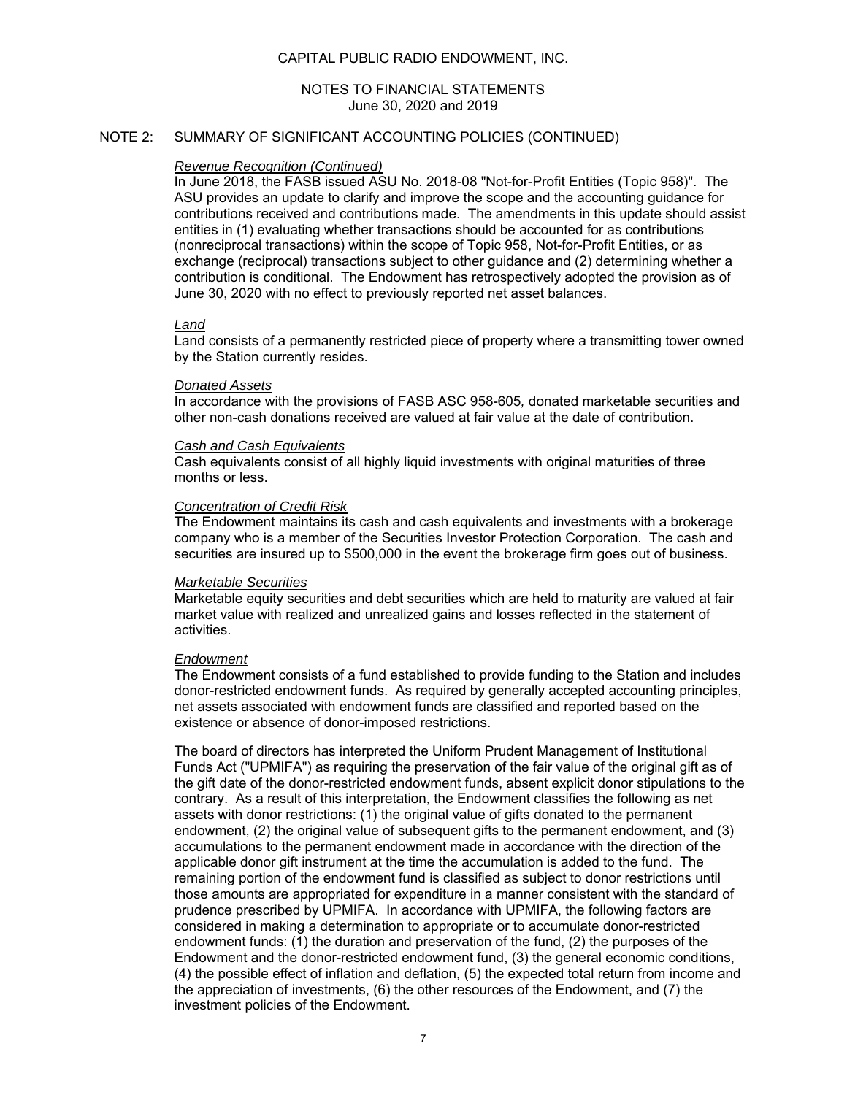### NOTES TO FINANCIAL STATEMENTS June 30, 2020 and 2019

### NOTE 2: SUMMARY OF SIGNIFICANT ACCOUNTING POLICIES (CONTINUED)

#### *Revenue Recognition (Continued)*

In June 2018, the FASB issued ASU No. 2018-08 "Not-for-Profit Entities (Topic 958)". The ASU provides an update to clarify and improve the scope and the accounting guidance for contributions received and contributions made. The amendments in this update should assist entities in (1) evaluating whether transactions should be accounted for as contributions (nonreciprocal transactions) within the scope of Topic 958, Not-for-Profit Entities, or as exchange (reciprocal) transactions subject to other guidance and (2) determining whether a contribution is conditional. The Endowment has retrospectively adopted the provision as of June 30, 2020 with no effect to previously reported net asset balances.

#### *Land*

Land consists of a permanently restricted piece of property where a transmitting tower owned by the Station currently resides.

#### *Donated Assets*

In accordance with the provisions of FASB ASC 958-605*,* donated marketable securities and other non-cash donations received are valued at fair value at the date of contribution.

#### *Cash and Cash Equivalents*

Cash equivalents consist of all highly liquid investments with original maturities of three months or less.

#### *Concentration of Credit Risk*

The Endowment maintains its cash and cash equivalents and investments with a brokerage company who is a member of the Securities Investor Protection Corporation. The cash and securities are insured up to \$500,000 in the event the brokerage firm goes out of business.

#### *Marketable Securities*

Marketable equity securities and debt securities which are held to maturity are valued at fair market value with realized and unrealized gains and losses reflected in the statement of activities.

#### *Endowment*

The Endowment consists of a fund established to provide funding to the Station and includes donor-restricted endowment funds. As required by generally accepted accounting principles, net assets associated with endowment funds are classified and reported based on the existence or absence of donor-imposed restrictions.

The board of directors has interpreted the Uniform Prudent Management of Institutional Funds Act ("UPMIFA") as requiring the preservation of the fair value of the original gift as of the gift date of the donor-restricted endowment funds, absent explicit donor stipulations to the contrary. As a result of this interpretation, the Endowment classifies the following as net assets with donor restrictions: (1) the original value of gifts donated to the permanent endowment, (2) the original value of subsequent gifts to the permanent endowment, and (3) accumulations to the permanent endowment made in accordance with the direction of the applicable donor gift instrument at the time the accumulation is added to the fund. The remaining portion of the endowment fund is classified as subject to donor restrictions until those amounts are appropriated for expenditure in a manner consistent with the standard of prudence prescribed by UPMIFA. In accordance with UPMIFA, the following factors are considered in making a determination to appropriate or to accumulate donor-restricted endowment funds: (1) the duration and preservation of the fund, (2) the purposes of the Endowment and the donor-restricted endowment fund, (3) the general economic conditions, (4) the possible effect of inflation and deflation, (5) the expected total return from income and the appreciation of investments, (6) the other resources of the Endowment, and (7) the investment policies of the Endowment.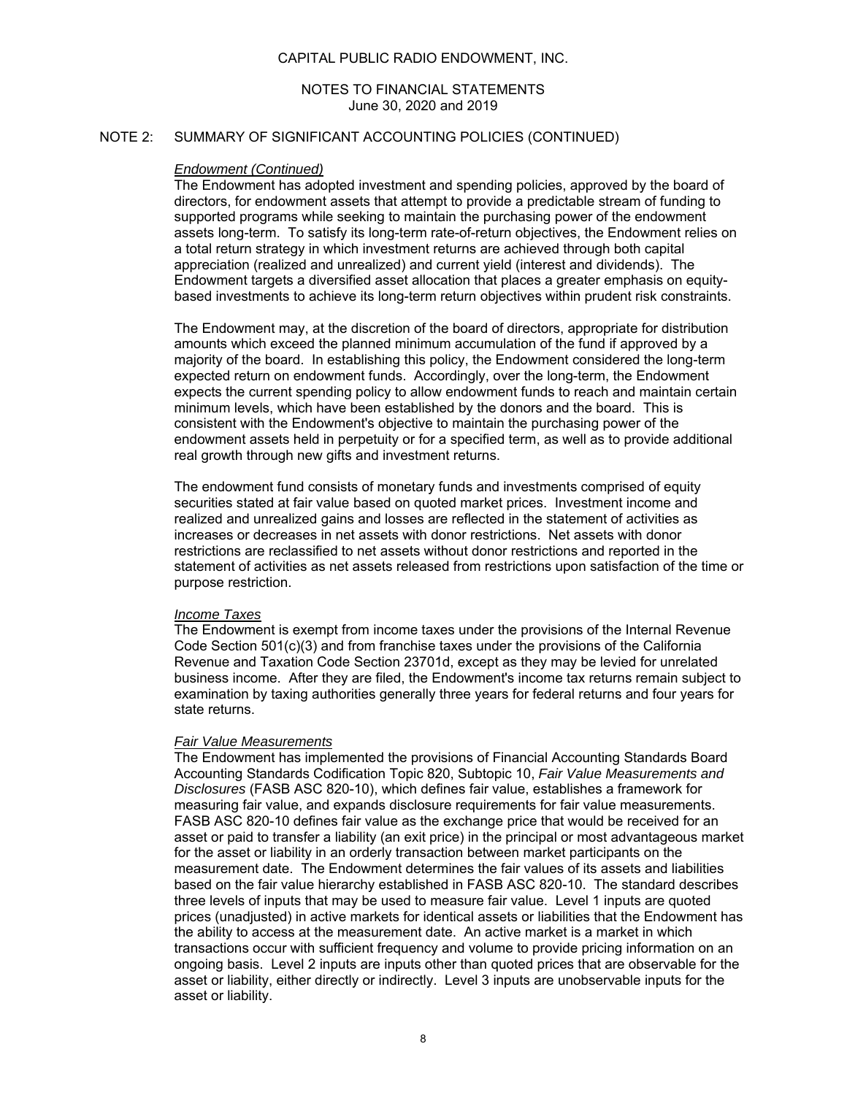### NOTES TO FINANCIAL STATEMENTS June 30, 2020 and 2019

## NOTE 2: SUMMARY OF SIGNIFICANT ACCOUNTING POLICIES (CONTINUED)

#### *Endowment (Continued)*

The Endowment has adopted investment and spending policies, approved by the board of directors, for endowment assets that attempt to provide a predictable stream of funding to supported programs while seeking to maintain the purchasing power of the endowment assets long-term. To satisfy its long-term rate-of-return objectives, the Endowment relies on a total return strategy in which investment returns are achieved through both capital appreciation (realized and unrealized) and current yield (interest and dividends). The Endowment targets a diversified asset allocation that places a greater emphasis on equitybased investments to achieve its long-term return objectives within prudent risk constraints.

The Endowment may, at the discretion of the board of directors, appropriate for distribution amounts which exceed the planned minimum accumulation of the fund if approved by a majority of the board. In establishing this policy, the Endowment considered the long-term expected return on endowment funds. Accordingly, over the long-term, the Endowment expects the current spending policy to allow endowment funds to reach and maintain certain minimum levels, which have been established by the donors and the board. This is consistent with the Endowment's objective to maintain the purchasing power of the endowment assets held in perpetuity or for a specified term, as well as to provide additional real growth through new gifts and investment returns.

The endowment fund consists of monetary funds and investments comprised of equity securities stated at fair value based on quoted market prices. Investment income and realized and unrealized gains and losses are reflected in the statement of activities as increases or decreases in net assets with donor restrictions. Net assets with donor restrictions are reclassified to net assets without donor restrictions and reported in the statement of activities as net assets released from restrictions upon satisfaction of the time or purpose restriction.

#### *Income Taxes*

The Endowment is exempt from income taxes under the provisions of the Internal Revenue Code Section 501(c)(3) and from franchise taxes under the provisions of the California Revenue and Taxation Code Section 23701d, except as they may be levied for unrelated business income. After they are filed, the Endowment's income tax returns remain subject to examination by taxing authorities generally three years for federal returns and four years for state returns.

#### *Fair Value Measurements*

The Endowment has implemented the provisions of Financial Accounting Standards Board Accounting Standards Codification Topic 820, Subtopic 10, *Fair Value Measurements and Disclosures* (FASB ASC 820-10), which defines fair value, establishes a framework for measuring fair value, and expands disclosure requirements for fair value measurements. FASB ASC 820-10 defines fair value as the exchange price that would be received for an asset or paid to transfer a liability (an exit price) in the principal or most advantageous market for the asset or liability in an orderly transaction between market participants on the measurement date. The Endowment determines the fair values of its assets and liabilities based on the fair value hierarchy established in FASB ASC 820-10. The standard describes three levels of inputs that may be used to measure fair value. Level 1 inputs are quoted prices (unadjusted) in active markets for identical assets or liabilities that the Endowment has the ability to access at the measurement date. An active market is a market in which transactions occur with sufficient frequency and volume to provide pricing information on an ongoing basis. Level 2 inputs are inputs other than quoted prices that are observable for the asset or liability, either directly or indirectly. Level 3 inputs are unobservable inputs for the asset or liability.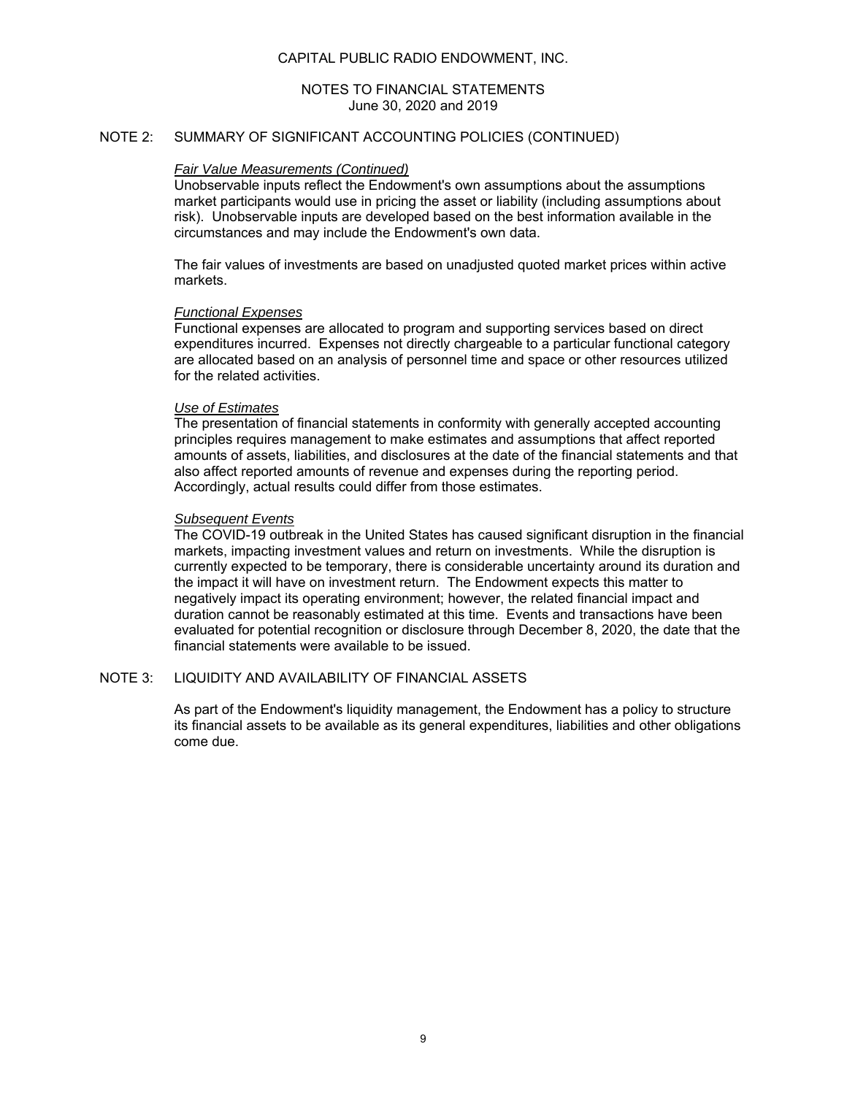NOTES TO FINANCIAL STATEMENTS June 30, 2020 and 2019

## NOTE 2: SUMMARY OF SIGNIFICANT ACCOUNTING POLICIES (CONTINUED)

#### *Fair Value Measurements (Continued)*

Unobservable inputs reflect the Endowment's own assumptions about the assumptions market participants would use in pricing the asset or liability (including assumptions about risk). Unobservable inputs are developed based on the best information available in the circumstances and may include the Endowment's own data.

The fair values of investments are based on unadjusted quoted market prices within active markets.

#### *Functional Expenses*

Functional expenses are allocated to program and supporting services based on direct expenditures incurred. Expenses not directly chargeable to a particular functional category are allocated based on an analysis of personnel time and space or other resources utilized for the related activities.

#### *Use of Estimates*

The presentation of financial statements in conformity with generally accepted accounting principles requires management to make estimates and assumptions that affect reported amounts of assets, liabilities, and disclosures at the date of the financial statements and that also affect reported amounts of revenue and expenses during the reporting period. Accordingly, actual results could differ from those estimates.

# *Subsequent Events*

The COVID-19 outbreak in the United States has caused significant disruption in the financial markets, impacting investment values and return on investments. While the disruption is currently expected to be temporary, there is considerable uncertainty around its duration and the impact it will have on investment return. The Endowment expects this matter to negatively impact its operating environment; however, the related financial impact and duration cannot be reasonably estimated at this time. Events and transactions have been evaluated for potential recognition or disclosure through December 8, 2020, the date that the financial statements were available to be issued.

## NOTE 3: LIQUIDITY AND AVAILABILITY OF FINANCIAL ASSETS

As part of the Endowment's liquidity management, the Endowment has a policy to structure its financial assets to be available as its general expenditures, liabilities and other obligations come due.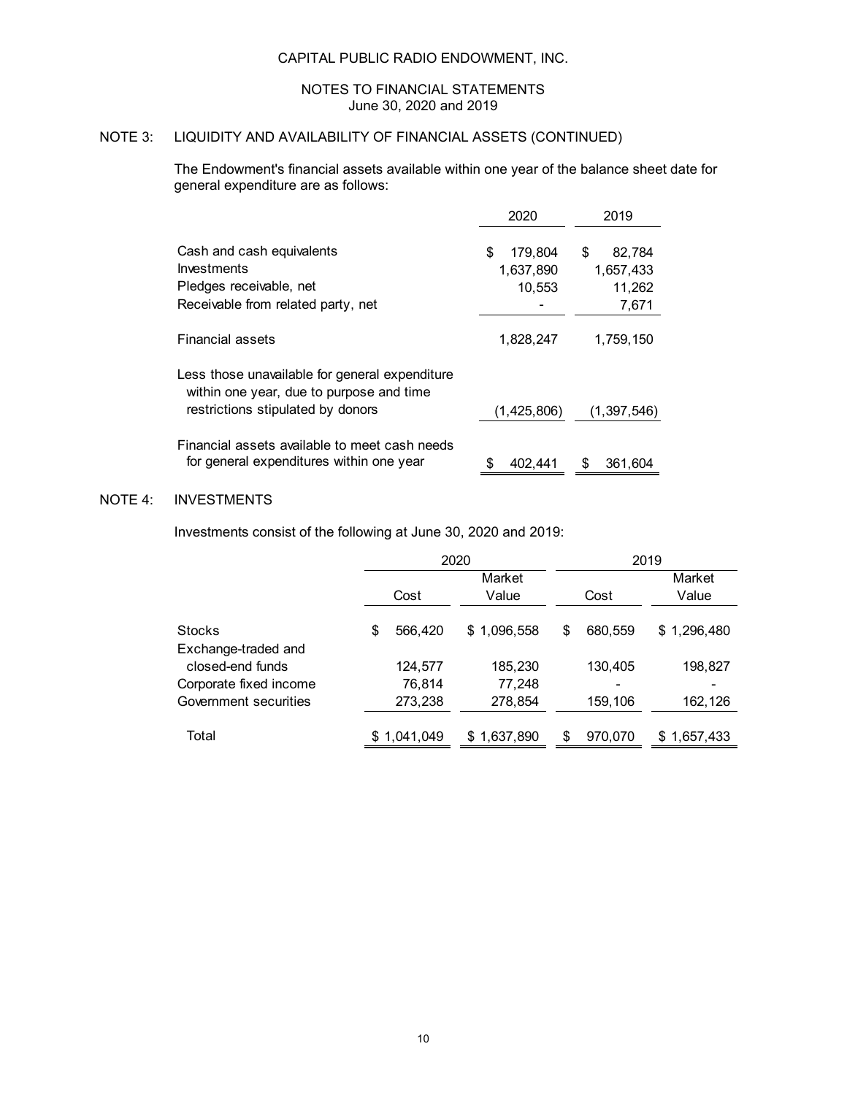# NOTES TO FINANCIAL STATEMENTS June 30, 2020 and 2019

# NOTE 3: LIQUIDITY AND AVAILABILITY OF FINANCIAL ASSETS (CONTINUED)

The Endowment's financial assets available within one year of the balance sheet date for general expenditure are as follows:

|                                                                                                                                 | 2020                                 | 2019                                         |  |  |  |
|---------------------------------------------------------------------------------------------------------------------------------|--------------------------------------|----------------------------------------------|--|--|--|
| Cash and cash equivalents<br>Investments<br>Pledges receivable, net<br>Receivable from related party, net                       | 179,804<br>\$<br>1,637,890<br>10,553 | 82,784<br>\$<br>1,657,433<br>11,262<br>7,671 |  |  |  |
| <b>Financial assets</b>                                                                                                         | 1,828,247                            | 1,759,150                                    |  |  |  |
| Less those unavailable for general expenditure<br>within one year, due to purpose and time<br>restrictions stipulated by donors | (1,425,806)                          | (1, 397, 546)                                |  |  |  |
| Financial assets available to meet cash needs<br>for general expenditures within one year                                       | 402,441<br>\$                        | 361.604                                      |  |  |  |

## NOTE 4: INVESTMENTS

Investments consist of the following at June 30, 2020 and 2019:

|                        |     | 2020      |             |      | 2019    |             |  |  |
|------------------------|-----|-----------|-------------|------|---------|-------------|--|--|
|                        |     |           | Market      |      |         | Market      |  |  |
|                        |     | Cost      | Value       | Cost |         | Value       |  |  |
|                        |     |           |             |      |         |             |  |  |
| <b>Stocks</b>          | \$  | 566,420   | \$1,096,558 | \$   | 680,559 | \$1,296,480 |  |  |
| Exchange-traded and    |     |           |             |      |         |             |  |  |
| closed-end funds       |     | 124,577   | 185,230     |      | 130,405 | 198,827     |  |  |
| Corporate fixed income |     | 76,814    | 77,248      |      |         |             |  |  |
| Government securities  |     | 273,238   | 278,854     |      | 159,106 | 162,126     |  |  |
|                        |     |           |             |      |         |             |  |  |
| Total                  | \$. | 1,041,049 | \$1,637,890 | \$   | 970,070 | \$1,657,433 |  |  |
|                        |     |           |             |      |         |             |  |  |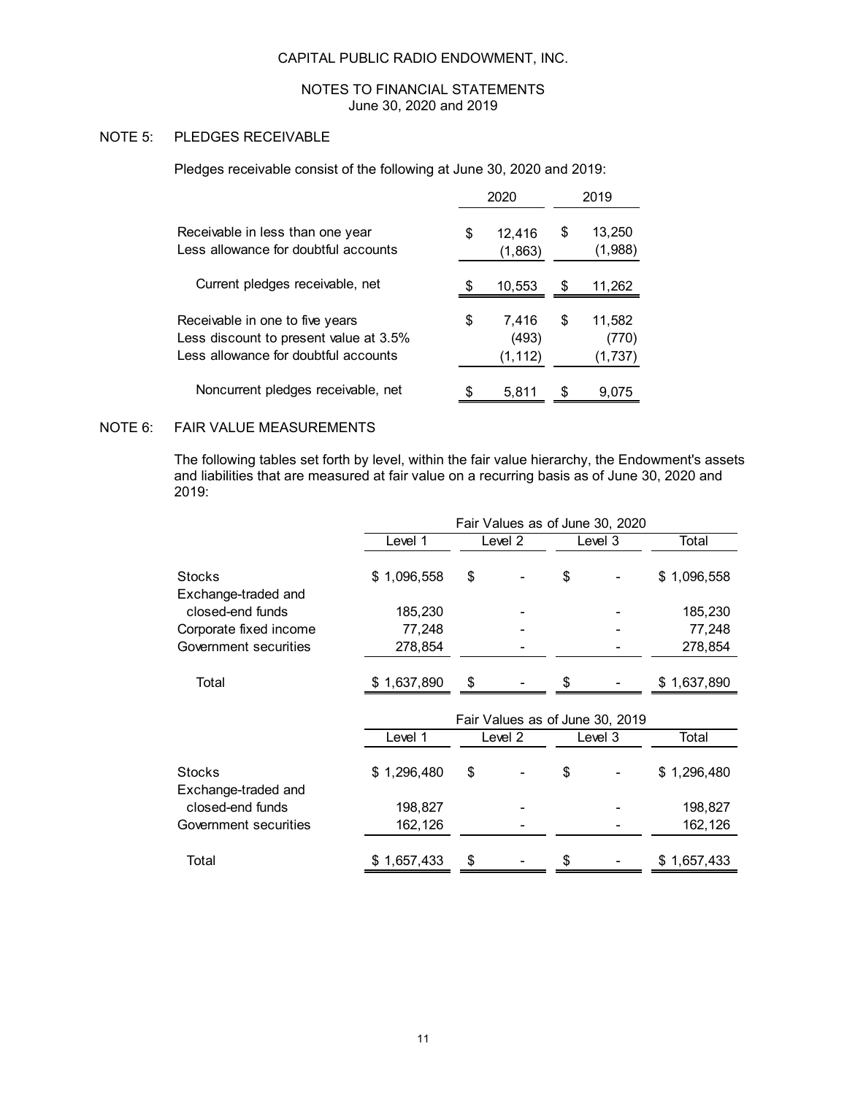# NOTES TO FINANCIAL STATEMENTS June 30, 2020 and 2019

# NOTE 5: PLEDGES RECEIVABLE

Pledges receivable consist of the following at June 30, 2020 and 2019:

|                                                                                                                   |    | 2020                       | 2019 |                            |  |
|-------------------------------------------------------------------------------------------------------------------|----|----------------------------|------|----------------------------|--|
| Receivable in less than one year<br>Less allowance for doubtful accounts                                          | \$ | 12,416<br>(1,863)          | \$   | 13,250<br>(1,988)          |  |
| Current pledges receivable, net                                                                                   | £. | 10,553                     | S    | 11,262                     |  |
| Receivable in one to five years<br>Less discount to present value at 3.5%<br>Less allowance for doubtful accounts | \$ | 7,416<br>(493)<br>(1, 112) | \$   | 11,582<br>(770)<br>(1,737) |  |
| Noncurrent pledges receivable, net                                                                                | S  | 5.811                      | S    | 9.075                      |  |

# NOTE 6: FAIR VALUE MEASUREMENTS

The following tables set forth by level, within the fair value hierarchy, the Endowment's assets and liabilities that are measured at fair value on a recurring basis as of June 30, 2020 and 2019:

|                                         | Fair Values as of June 30, 2020 |    |         |         |  |             |
|-----------------------------------------|---------------------------------|----|---------|---------|--|-------------|
|                                         | Level 1                         |    | Level 2 | Level 3 |  | Total       |
| <b>Stocks</b>                           | \$1,096,558                     | \$ |         | \$      |  | \$1,096,558 |
| Exchange-traded and<br>closed-end funds | 185,230                         |    |         |         |  | 185,230     |
| Corporate fixed income                  | 77,248                          |    |         |         |  | 77,248      |
| Government securities                   | 278,854                         |    |         |         |  | 278,854     |
| Total                                   | \$1,637,890                     | S  |         | \$      |  | \$1,637,890 |
|                                         |                                 |    |         |         |  |             |

|                                         |             | Fair Values as of June 30, 2019 |  |         |  |             |  |  |
|-----------------------------------------|-------------|---------------------------------|--|---------|--|-------------|--|--|
|                                         | Level 1     | Level 2                         |  | Level 3 |  | Total       |  |  |
| Stocks                                  | \$1,296,480 | \$                              |  | \$      |  | \$1,296,480 |  |  |
| Exchange-traded and<br>closed-end funds | 198,827     |                                 |  |         |  | 198,827     |  |  |
| Government securities                   | 162,126     |                                 |  |         |  | 162,126     |  |  |
| Total                                   | \$1,657,433 | \$                              |  | \$      |  | \$1,657,433 |  |  |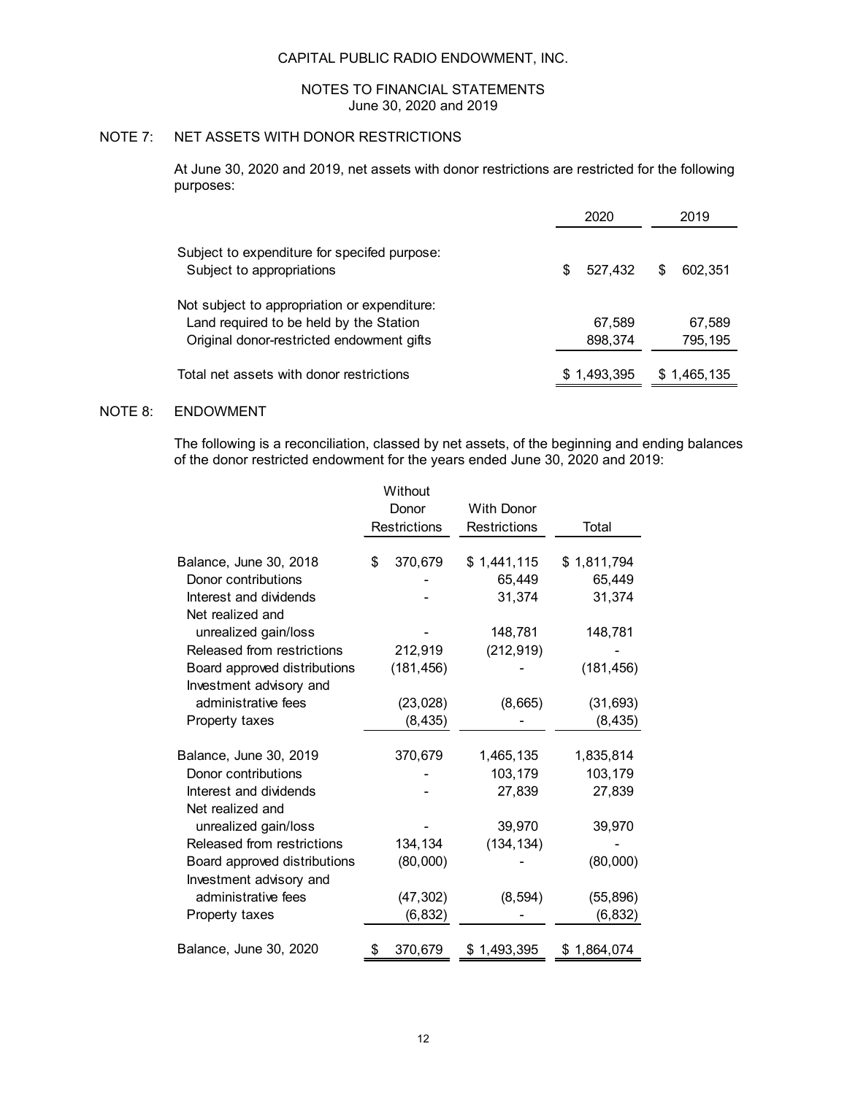# NOTES TO FINANCIAL STATEMENTS June 30, 2020 and 2019

# NOTE 7: NET ASSETS WITH DONOR RESTRICTIONS

At June 30, 2020 and 2019, net assets with donor restrictions are restricted for the following purposes:

|                                                                                                                                      | 2020 |                   |   | 2019              |
|--------------------------------------------------------------------------------------------------------------------------------------|------|-------------------|---|-------------------|
| Subject to expenditure for specifed purpose:<br>Subject to appropriations                                                            | S    | 527,432           | S | 602.351           |
| Not subject to appropriation or expenditure:<br>Land required to be held by the Station<br>Original donor-restricted endowment gifts |      | 67,589<br>898,374 |   | 67.589<br>795,195 |
| Total net assets with donor restrictions                                                                                             |      | \$1,493,395       |   | \$1,465,135       |

# NOTE 8: ENDOWMENT

The following is a reconciliation, classed by net assets, of the beginning and ending balances of the donor restricted endowment for the years ended June 30, 2020 and 2019:

|                                                         | Without<br>Donor<br><b>Restrictions</b> | <b>With Donor</b><br><b>Restrictions</b> | Total                |
|---------------------------------------------------------|-----------------------------------------|------------------------------------------|----------------------|
| Balance, June 30, 2018                                  | \$<br>370,679                           | \$1,441,115                              | \$1,811,794          |
| Donor contributions                                     |                                         | 65,449                                   | 65,449               |
| Interest and dividends<br>Net realized and              |                                         | 31,374                                   | 31,374               |
| unrealized gain/loss                                    |                                         | 148,781                                  | 148,781              |
| Released from restrictions                              | 212,919                                 | (212, 919)                               |                      |
| Board approved distributions<br>Investment advisory and | (181, 456)                              |                                          | (181, 456)           |
| administrative fees                                     | (23, 028)                               | (8,665)                                  | (31, 693)            |
| Property taxes                                          | (8, 435)                                |                                          | (8, 435)             |
| Balance, June 30, 2019<br>Donor contributions           | 370,679                                 | 1,465,135<br>103,179                     | 1,835,814<br>103,179 |
| Interest and dividends<br>Net realized and              |                                         | 27,839                                   | 27,839               |
| unrealized gain/loss                                    |                                         | 39,970                                   | 39,970               |
| Released from restrictions                              | 134,134                                 | (134, 134)                               |                      |
| Board approved distributions<br>Investment advisory and | (80,000)                                |                                          | (80,000)             |
| administrative fees                                     | (47, 302)                               | (8, 594)                                 | (55, 896)            |
| Property taxes                                          | (6, 832)                                |                                          | (6, 832)             |
| Balance, June 30, 2020                                  | \$<br>370,679                           | \$1,493,395                              | \$1,864,074          |